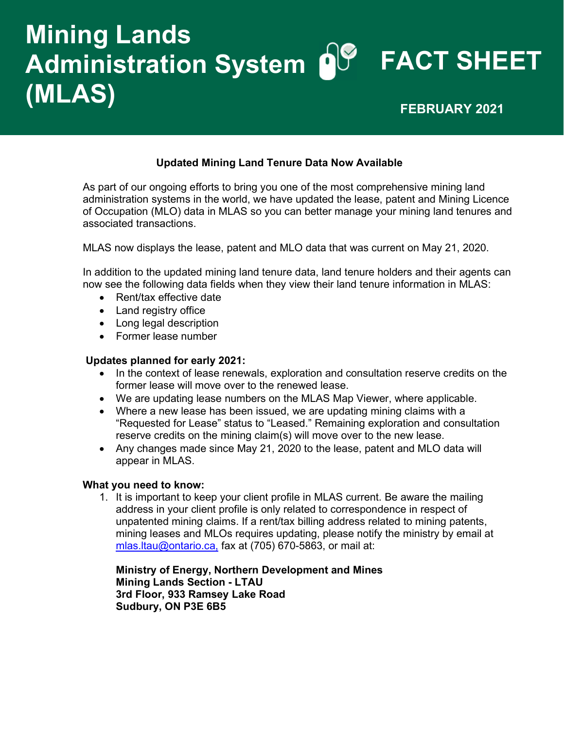## Mining Lands Administration System **O**U FACT SHEET (MLAS) FEBRUARY 2021

### Updated Mining Land Tenure Data Now Available

As part of our ongoing efforts to bring you one of the most comprehensive mining land administration systems in the world, we have updated the lease, patent and Mining Licence of Occupation (MLO) data in MLAS so you can better manage your mining land tenures and associated transactions.

MLAS now displays the lease, patent and MLO data that was current on May 21, 2020.

In addition to the updated mining land tenure data, land tenure holders and their agents can now see the following data fields when they view their land tenure information in MLAS:

- Rent/tax effective date
- Land registry office
- Long legal description
- Former lease number

#### Updates planned for early 2021:

- In the context of lease renewals, exploration and consultation reserve credits on the former lease will move over to the renewed lease.
- We are updating lease numbers on the MLAS Map Viewer, where applicable.
- Where a new lease has been issued, we are updating mining claims with a "Requested for Lease" status to "Leased." Remaining exploration and consultation reserve credits on the mining claim(s) will move over to the new lease.
- Any changes made since May 21, 2020 to the lease, patent and MLO data will appear in MLAS.

#### What you need to know:

1. It is important to keep your client profile in MLAS current. Be aware the mailing address in your client profile is only related to correspondence in respect of unpatented mining claims. If a rent/tax billing address related to mining patents, mining leases and MLOs requires updating, please notify the ministry by email at [mlas.ltau@ontario.ca,](mailto:mlas.ltau@ontario.ca) fax at (705) 670-5863, or mail at:

Ministry of Energy, Northern Development and Mines Mining Lands Section - LTAU 3rd Floor, 933 Ramsey Lake Road Sudbury, ON P3E 6B5